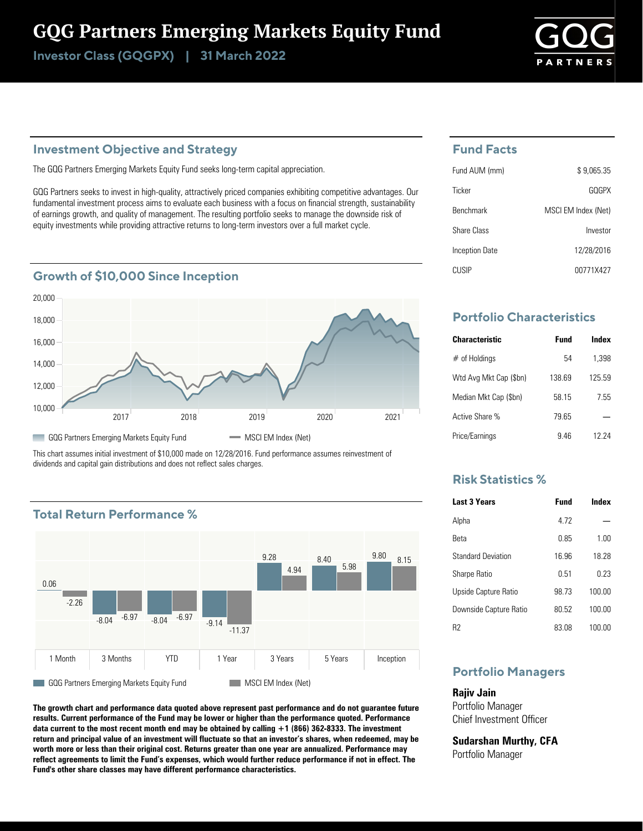## GQG Partners Emerging Markets Equity Fund

Investor Class (GQGPX) | 31 March 2022



#### **Investment Objective and Strategy**

The GQG Partners Emerging Markets Equity Fund seeks long-term capital appreciation.

GQG Partners seeks to invest in high-quality, attractively priced companies exhibiting competitive advantages. Our fundamental investment process aims to evaluate each business with a focus on financial strength, sustainability of earnings growth, and quality of management. The resulting portfolio seeks to manage the downside risk of equity investments while providing attractive returns to long-term investors over a full market cycle.

#### **Growth of \$10,000 Since Inception**



This chart assumes initial investment of \$10,000 made on 12/28/2016. Fund performance assumes reinvestment of dividends and capital gain distributions and does not reflect sales charges.

#### **Total Return Performance %**



**The growth chart and performance data quoted above represent past performance and do not guarantee future results. Current performance of the Fund may be lower or higher than the performance quoted. Performance data current to the most recent month end may be obtained by calling +1 (866) 362-8333. The investment return and principal value of an investment will fluctuate so that an investor's shares, when redeemed, may be worth more or less than their original cost. Returns greater than one year are annualized. Performance may reflect agreements to limit the Fund's expenses, which would further reduce performance if not in effect. The Fund's other share classes may have different performance characteristics.**

#### **Fund Facts**

| Fund AUM (mm)    | \$9.065.35          |
|------------------|---------------------|
| Ticker           | GOGPX               |
| <b>Benchmark</b> | MSCI EM Index (Net) |
| Share Class      | Investor            |
| Inception Date   | 12/28/2016          |
| CUSIP            | 00771X427           |

#### **Portfolio Characteristics**

| <b>Characteristic</b>  | Fund   | Index  |
|------------------------|--------|--------|
| $#$ of Holdings        | 54     | 1.398  |
| Wtd Avg Mkt Cap (\$bn) | 138.69 | 125 59 |
| Median Mkt Cap (\$bn)  | 58 15  | 7.55   |
| Active Share %         | 79 65  |        |
| Price/Earnings         | 946    | 12 24  |

#### **Risk Statistics %**

| <b>Last 3 Years</b>       | <b>Fund</b> | Index  |
|---------------------------|-------------|--------|
| Alpha                     | 4 7 2       |        |
| Reta                      | 0.85        | 1.00   |
| <b>Standard Deviation</b> | 16.96       | 18 28  |
| <b>Sharpe Ratio</b>       | 0.51        | በ 23   |
| Upside Capture Ratio      | 98 73       | 100.00 |
| Downside Capture Ratio    | 80.52       | 100.00 |
| R2                        | 83.08       | 100.00 |

#### **Portfolio Managers**

**Rajiv Jain** Portfolio Manager Chief Investment Officer

**Sudarshan Murthy, CFA** Portfolio Manager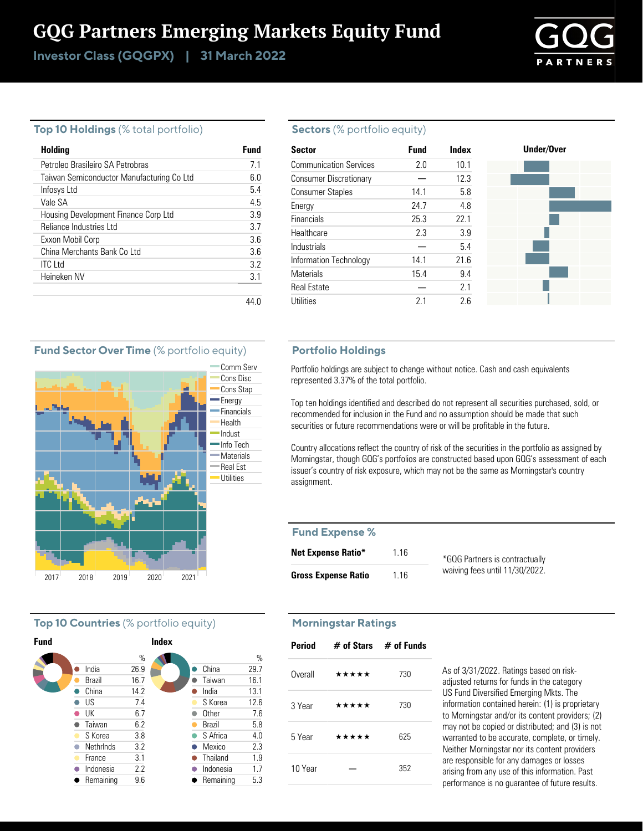## GQG Partners Emerging Markets Equity Fund

Investor Class (GQGPX) | 31 March 2022

# **PTNEP**

#### **Top 10 Holdings** (% total portfolio)

| Holding                                   | Fund |
|-------------------------------------------|------|
| Petroleo Brasileiro SA Petrobras          | 7.1  |
| Taiwan Semiconductor Manufacturing Co Ltd | 60   |
| Infosys Ltd                               | 5.4  |
| Vale SA                                   | 45   |
| Housing Development Finance Corp Ltd      | 39   |
| Reliance Industries Ltd                   | 37   |
| Exxon Mobil Corp                          | 3.6  |
| China Merchants Bank Colltd               | 36   |
| <b>ITC</b> Ltd                            | 32   |
| Heineken NV                               | 3.1  |
|                                           |      |

#### **Sectors** (% portfolio equity)

| <b>Sector</b>                 | <b>Fund</b> | Index | Under/Over |
|-------------------------------|-------------|-------|------------|
| <b>Communication Services</b> | 2.0         | 10.1  |            |
| <b>Consumer Discretionary</b> |             | 12.3  |            |
| <b>Consumer Staples</b>       | 14.1        | 5.8   |            |
| Energy                        | 24.7        | 4.8   |            |
| Financials                    | 25.3        | 22.1  |            |
| Healthcare                    | 2.3         | 3.9   |            |
| Industrials                   |             | 5.4   |            |
| Information Technology        | 14.1        | 21.6  |            |
| <b>Materials</b>              | 15.4        | 9.4   |            |
| <b>Real Estate</b>            |             | 2.1   |            |
| <b>Utilities</b>              | 2.1         | 2.6   |            |

#### **Portfolio Holdings**

Portfolio holdings are subject to change without notice. Cash and cash equivalents represented 3.37% of the total portfolio.

Top ten holdings identified and described do not represent all securities purchased, sold, or recommended for inclusion in the Fund and no assumption should be made that such securities or future recommendations were or will be profitable in the future.

Country allocations reflect the country of risk of the securities in the portfolio as assigned by Morningstar, though GQG's portfolios are constructed based upon GQG's assessment of each issuer's country of risk exposure, which may not be the same as Morningstar's country assignment.

#### **Fund Expense %**

| <b>Net Expense Ratio*</b>  | 1 1 6 | *GQG Partners is contractually |
|----------------------------|-------|--------------------------------|
| <b>Gross Expense Ratio</b> | 1 1 6 | waiving fees until 11/30/2022. |

### **Morningstar Ratings**

| Period  | $\#$ of Stars $\#$ of Funds |     |
|---------|-----------------------------|-----|
| Overall | *****                       | 730 |
| 3 Year  | *****                       | 730 |
| 5 Year  | *****                       | 625 |
| 10 Year |                             | 352 |

As of 3/31/2022. Ratings based on riskadjusted returns for funds in the category US Fund Diversified Emerging Mkts. The information contained herein: (1) is proprietary to Morningstar and/or its content providers; (2) may not be copied or distributed; and (3) is not warranted to be accurate, complete, or timely. Neither Morningstar nor its content providers are responsible for any damages or losses arising from any use of this information. Past performance is no guarantee of future results.

#### **Fund Sector Over Time** (% portfolio equity)



#### **Top 10 Countries** (% portfolio equity)